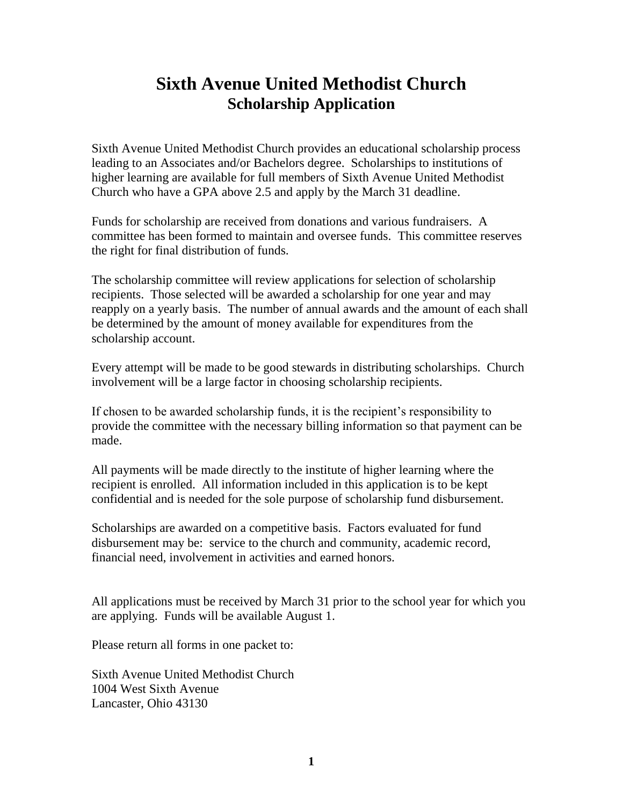## **Sixth Avenue United Methodist Church Scholarship Application**

Sixth Avenue United Methodist Church provides an educational scholarship process leading to an Associates and/or Bachelors degree. Scholarships to institutions of higher learning are available for full members of Sixth Avenue United Methodist Church who have a GPA above 2.5 and apply by the March 31 deadline.

Funds for scholarship are received from donations and various fundraisers. A committee has been formed to maintain and oversee funds. This committee reserves the right for final distribution of funds.

The scholarship committee will review applications for selection of scholarship recipients. Those selected will be awarded a scholarship for one year and may reapply on a yearly basis. The number of annual awards and the amount of each shall be determined by the amount of money available for expenditures from the scholarship account.

Every attempt will be made to be good stewards in distributing scholarships. Church involvement will be a large factor in choosing scholarship recipients.

If chosen to be awarded scholarship funds, it is the recipient's responsibility to provide the committee with the necessary billing information so that payment can be made.

All payments will be made directly to the institute of higher learning where the recipient is enrolled. All information included in this application is to be kept confidential and is needed for the sole purpose of scholarship fund disbursement.

Scholarships are awarded on a competitive basis. Factors evaluated for fund disbursement may be: service to the church and community, academic record, financial need, involvement in activities and earned honors.

All applications must be received by March 31 prior to the school year for which you are applying. Funds will be available August 1.

Please return all forms in one packet to:

Sixth Avenue United Methodist Church 1004 West Sixth Avenue Lancaster, Ohio 43130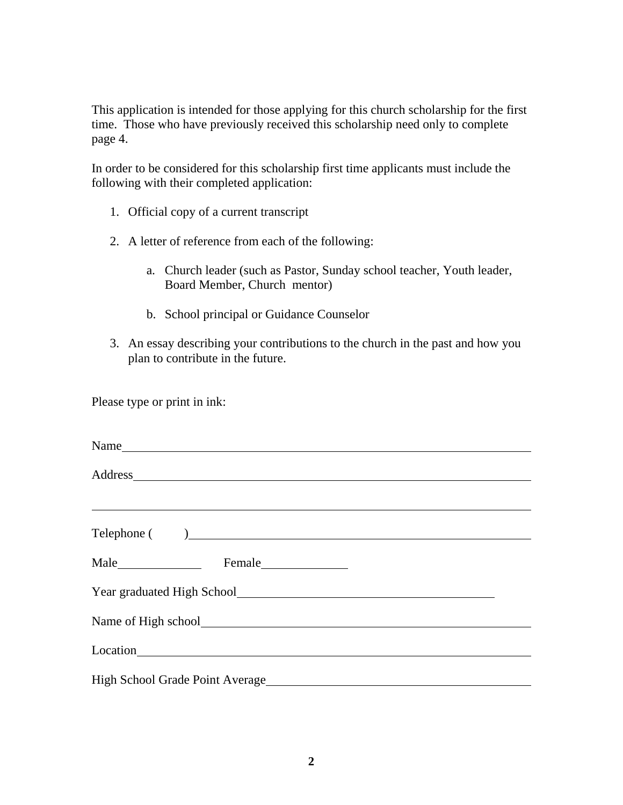This application is intended for those applying for this church scholarship for the first time. Those who have previously received this scholarship need only to complete page 4.

In order to be considered for this scholarship first time applicants must include the following with their completed application:

- 1. Official copy of a current transcript
- 2. A letter of reference from each of the following:
	- a. Church leader (such as Pastor, Sunday school teacher, Youth leader, Board Member, Church mentor)
	- b. School principal or Guidance Counselor
- 3. An essay describing your contributions to the church in the past and how you plan to contribute in the future.

Please type or print in ink:

| Name                                                                                                                                                                                                                           |  |
|--------------------------------------------------------------------------------------------------------------------------------------------------------------------------------------------------------------------------------|--|
| Address and the contract of the contract of the contract of the contract of the contract of the contract of the contract of the contract of the contract of the contract of the contract of the contract of the contract of th |  |
| <u>,这些人都是一个人的人,我们就是一个人的人,我们就是一个人的人,我们就是一个人的人,我们就是一个人的人,我们就是一个人的人,我们就是一个人的人,</u>                                                                                                                                                |  |
|                                                                                                                                                                                                                                |  |
|                                                                                                                                                                                                                                |  |
|                                                                                                                                                                                                                                |  |
|                                                                                                                                                                                                                                |  |
|                                                                                                                                                                                                                                |  |
|                                                                                                                                                                                                                                |  |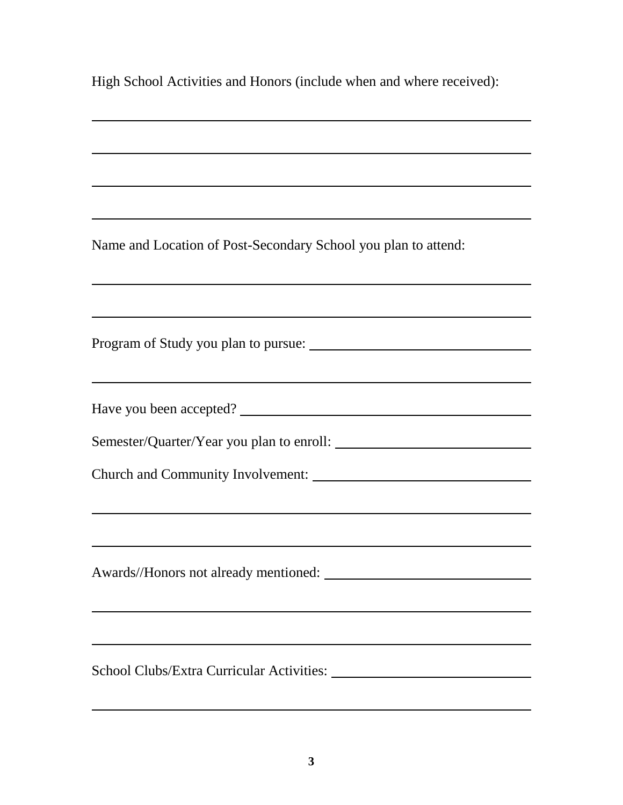High School Activities and Honors (include when and where received):

Name and Location of Post-Secondary School you plan to attend:

Program of Study you plan to pursue:

Have you been accepted?

Semester/Quarter/Year you plan to enroll:

Church and Community Involvement:

Awards//Honors not already mentioned:

School Clubs/Extra Curricular Activities: